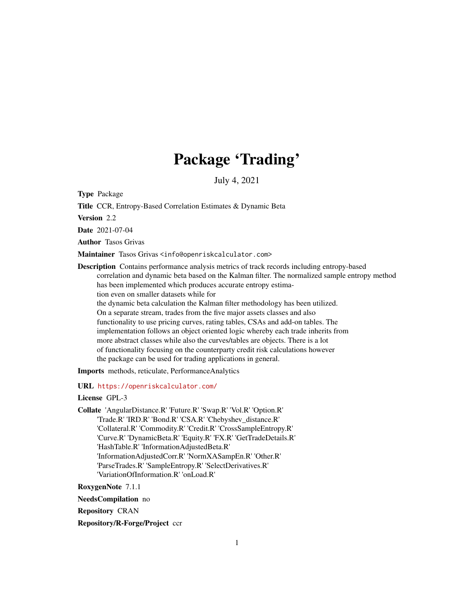# Package 'Trading'

July 4, 2021

Type Package

Title CCR, Entropy-Based Correlation Estimates & Dynamic Beta

Version 2.2

Date 2021-07-04

Author Tasos Grivas

Maintainer Tasos Grivas <info@openriskcalculator.com>

Description Contains performance analysis metrics of track records including entropy-based correlation and dynamic beta based on the Kalman filter. The normalized sample entropy method has been implemented which produces accurate entropy estimation even on smaller datasets while for the dynamic beta calculation the Kalman filter methodology has been utilized. On a separate stream, trades from the five major assets classes and also functionality to use pricing curves, rating tables, CSAs and add-on tables. The implementation follows an object oriented logic whereby each trade inherits from more abstract classes while also the curves/tables are objects. There is a lot of functionality focusing on the counterparty credit risk calculations however the package can be used for trading applications in general.

Imports methods, reticulate, PerformanceAnalytics

URL <https://openriskcalculator.com/>

License GPL-3

Collate 'AngularDistance.R' 'Future.R' 'Swap.R' 'Vol.R' 'Option.R' 'Trade.R' 'IRD.R' 'Bond.R' 'CSA.R' 'Chebyshev\_distance.R' 'Collateral.R' 'Commodity.R' 'Credit.R' 'CrossSampleEntropy.R' 'Curve.R' 'DynamicBeta.R' 'Equity.R' 'FX.R' 'GetTradeDetails.R' 'HashTable.R' 'InformationAdjustedBeta.R' 'InformationAdjustedCorr.R' 'NormXASampEn.R' 'Other.R' 'ParseTrades.R' 'SampleEntropy.R' 'SelectDerivatives.R' 'VariationOfInformation.R' 'onLoad.R'

RoxygenNote 7.1.1

NeedsCompilation no

Repository CRAN

Repository/R-Forge/Project ccr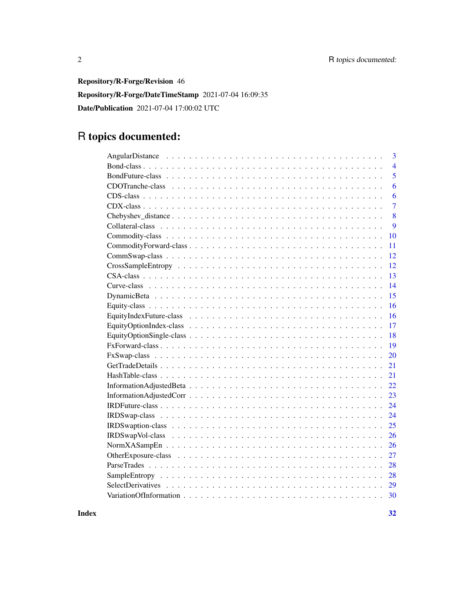Repository/R-Forge/Revision 46

Repository/R-Forge/DateTimeStamp 2021-07-04 16:09:35

Date/Publication 2021-07-04 17:00:02 UTC

# R topics documented:

| 3              |
|----------------|
| $\overline{4}$ |
| 5              |
| 6              |
| 6              |
| $\overline{7}$ |
| 8              |
| 9              |
| 10             |
| 11             |
| 12             |
| 12             |
| 13             |
| 14             |
| 15             |
| 16             |
| 16             |
| 17             |
| 18             |
| 19             |
| 20             |
| 21             |
| 21             |
| 22             |
| 23             |
| 24             |
| 24             |
| 25             |
| 26             |
| 26             |
| 27             |
| 28             |
| 28             |
| 29             |
| 30             |
|                |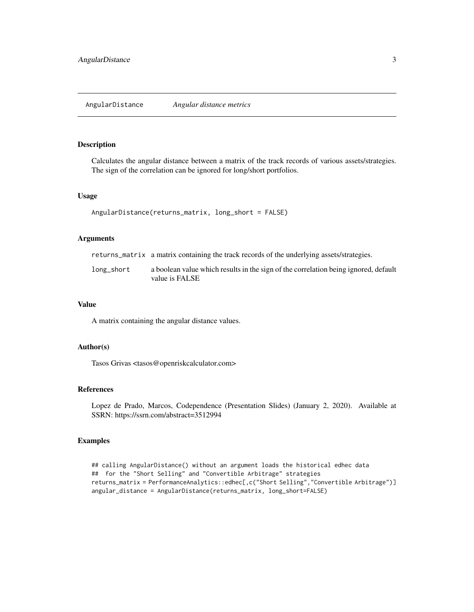<span id="page-2-0"></span>Calculates the angular distance between a matrix of the track records of various assets/strategies. The sign of the correlation can be ignored for long/short portfolios.

#### Usage

```
AngularDistance(returns_matrix, long_short = FALSE)
```
#### Arguments

| returns_matrix a matrix containing the track records of the underlying assets/strategies. |  |
|-------------------------------------------------------------------------------------------|--|
|                                                                                           |  |

| long_short | a boolean value which results in the sign of the correlation being ignored, default |
|------------|-------------------------------------------------------------------------------------|
|            | value is FALSE                                                                      |

#### Value

A matrix containing the angular distance values.

#### Author(s)

Tasos Grivas <tasos@openriskcalculator.com>

#### References

Lopez de Prado, Marcos, Codependence (Presentation Slides) (January 2, 2020). Available at SSRN: https://ssrn.com/abstract=3512994

```
## calling AngularDistance() without an argument loads the historical edhec data
## for the "Short Selling" and "Convertible Arbitrage" strategies
returns_matrix = PerformanceAnalytics::edhec[,c("Short Selling","Convertible Arbitrage")]
angular_distance = AngularDistance(returns_matrix, long_short=FALSE)
```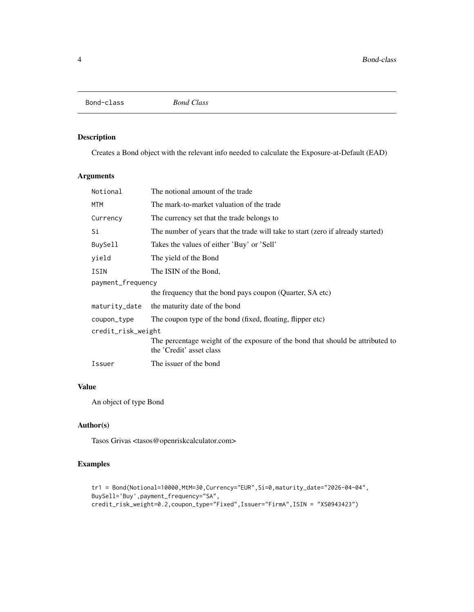<span id="page-3-0"></span>Bond-class *Bond Class*

### Description

Creates a Bond object with the relevant info needed to calculate the Exposure-at-Default (EAD)

### Arguments

| Notional           | The notional amount of the trade                                                                           |  |
|--------------------|------------------------------------------------------------------------------------------------------------|--|
| MTM                | The mark-to-market valuation of the trade                                                                  |  |
| Currency           | The currency set that the trade belongs to                                                                 |  |
| Si                 | The number of years that the trade will take to start (zero if already started)                            |  |
| BuySell            | Takes the values of either 'Buy' or 'Sell'                                                                 |  |
| yield              | The yield of the Bond                                                                                      |  |
| ISIN               | The ISIN of the Bond,                                                                                      |  |
| payment_frequency  |                                                                                                            |  |
|                    | the frequency that the bond pays coupon (Quarter, SA etc)                                                  |  |
| maturity_date      | the maturity date of the bond                                                                              |  |
| coupon_type        | The coupon type of the bond (fixed, floating, flipper etc)                                                 |  |
| credit_risk_weight |                                                                                                            |  |
|                    | The percentage weight of the exposure of the bond that should be attributed to<br>the 'Credit' asset class |  |
| Issuer             | The issuer of the bond                                                                                     |  |

### Value

An object of type Bond

### Author(s)

Tasos Grivas <tasos@openriskcalculator.com>

```
tr1 = Bond(Notional=10000,MtM=30,Currency="EUR",Si=0,maturity_date="2026-04-04",
BuySell='Buy',payment_frequency="SA",
credit_risk_weight=0.2,coupon_type="Fixed",Issuer="FirmA",ISIN = "XS0943423")
```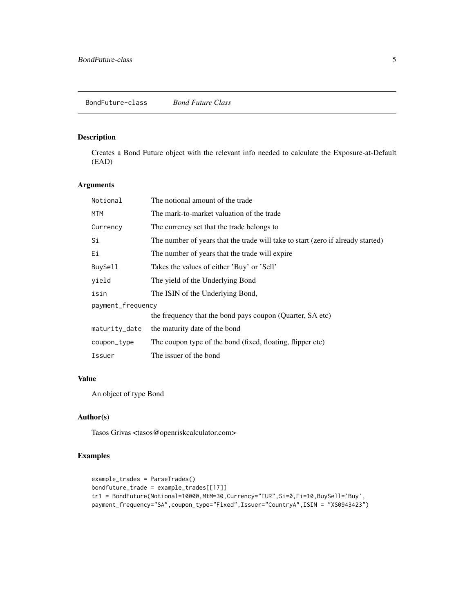<span id="page-4-0"></span>Creates a Bond Future object with the relevant info needed to calculate the Exposure-at-Default (EAD)

### Arguments

| Notional          | The notional amount of the trade                                                |  |
|-------------------|---------------------------------------------------------------------------------|--|
| <b>MTM</b>        | The mark-to-market valuation of the trade                                       |  |
| Currency          | The currency set that the trade belongs to                                      |  |
| Si                | The number of years that the trade will take to start (zero if already started) |  |
| Еi                | The number of years that the trade will expire                                  |  |
| BuySell           | Takes the values of either 'Buy' or 'Sell'                                      |  |
| yield             | The yield of the Underlying Bond                                                |  |
| isin              | The ISIN of the Underlying Bond,                                                |  |
| payment_frequency |                                                                                 |  |
|                   | the frequency that the bond pays coupon (Quarter, SA etc)                       |  |
| maturity_date     | the maturity date of the bond                                                   |  |
| coupon_type       | The coupon type of the bond (fixed, floating, flipper etc)                      |  |
| Issuer            | The issuer of the bond                                                          |  |

### Value

An object of type Bond

### Author(s)

Tasos Grivas <tasos@openriskcalculator.com>

```
example_trades = ParseTrades()
bondfuture_trade = example_trades[[17]]
tr1 = BondFuture(Notional=10000,MtM=30,Currency="EUR",Si=0,Ei=10,BuySell='Buy',
payment_frequency="SA",coupon_type="Fixed",Issuer="CountryA",ISIN = "XS0943423")
```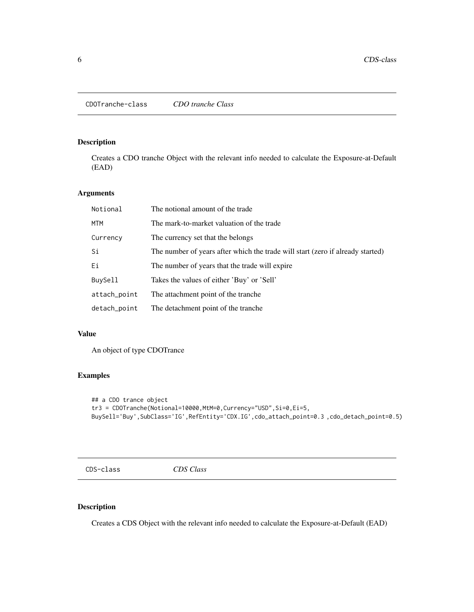<span id="page-5-0"></span>Creates a CDO tranche Object with the relevant info needed to calculate the Exposure-at-Default (EAD)

### Arguments

| Notional     | The notional amount of the trade                                               |
|--------------|--------------------------------------------------------------------------------|
| <b>MTM</b>   | The mark-to-market valuation of the trade                                      |
| Currency     | The currency set that the belongs                                              |
| Si           | The number of years after which the trade will start (zero if already started) |
| Ei           | The number of years that the trade will expire                                 |
| BuySell      | Takes the values of either 'Buy' or 'Sell'                                     |
| attach_point | The attachment point of the tranche.                                           |
| detach_point | The detachment point of the tranche                                            |

### Value

An object of type CDOTrance

### Examples

```
## a CDO trance object
tr3 = CDOTranche(Notional=10000,MtM=0,Currency="USD",Si=0,Ei=5,
BuySell='Buy',SubClass='IG',RefEntity='CDX.IG',cdo_attach_point=0.3 ,cdo_detach_point=0.5)
```
CDS-class *CDS Class*

### Description

Creates a CDS Object with the relevant info needed to calculate the Exposure-at-Default (EAD)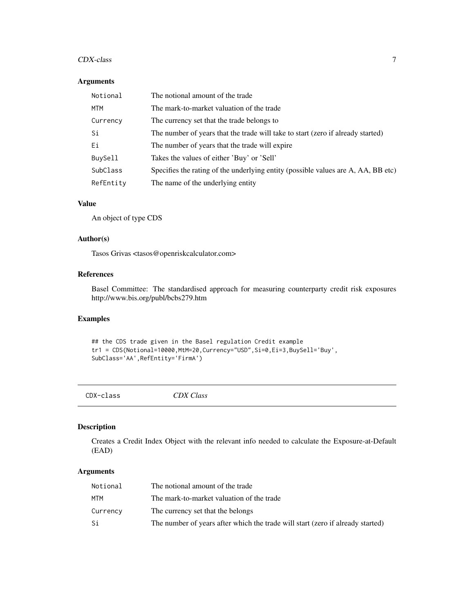#### <span id="page-6-0"></span>CDX-class 7

#### Arguments

| Notional       | The notional amount of the trade                                                  |
|----------------|-----------------------------------------------------------------------------------|
| MTM            | The mark-to-market valuation of the trade                                         |
| Currency       | The currency set that the trade belongs to                                        |
| Si             | The number of years that the trade will take to start (zero if already started)   |
| Ei             | The number of years that the trade will expire                                    |
| <b>BuySell</b> | Takes the values of either 'Buy' or 'Sell'                                        |
| SubClass       | Specifies the rating of the underlying entity (possible values are A, AA, BB etc) |
| RefEntity      | The name of the underlying entity                                                 |

### Value

An object of type CDS

### Author(s)

Tasos Grivas <tasos@openriskcalculator.com>

### References

Basel Committee: The standardised approach for measuring counterparty credit risk exposures http://www.bis.org/publ/bcbs279.htm

### Examples

```
## the CDS trade given in the Basel regulation Credit example
tr1 = CDS(Notional=10000,MtM=20,Currency="USD",Si=0,Ei=3,BuySell='Buy',
SubClass='AA',RefEntity='FirmA')
```

| CDX-class | CDX Class |
|-----------|-----------|
|           |           |

### Description

Creates a Credit Index Object with the relevant info needed to calculate the Exposure-at-Default (EAD)

### Arguments

| Notional | The notional amount of the trade                                               |
|----------|--------------------------------------------------------------------------------|
| мтм      | The mark-to-market valuation of the trade                                      |
| Currency | The currency set that the belongs                                              |
| Si       | The number of years after which the trade will start (zero if already started) |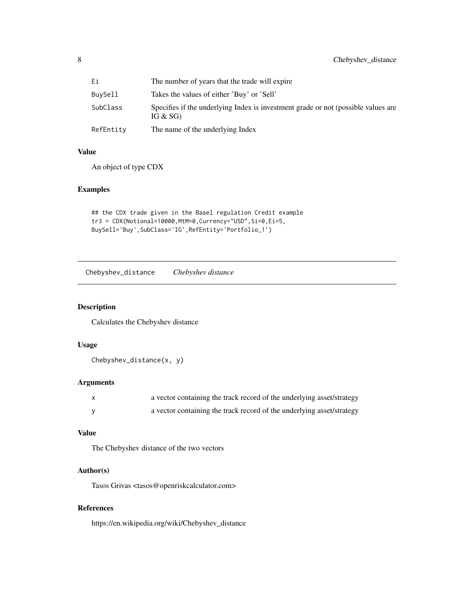<span id="page-7-0"></span>

| Еi        | The number of years that the trade will expire                                                  |
|-----------|-------------------------------------------------------------------------------------------------|
| BuySell   | Takes the values of either 'Buy' or 'Sell'                                                      |
| SubClass  | Specifies if the underlying Index is investment grade or not (possible values are<br>IG $&$ SG) |
| RefEntity | The name of the underlying Index                                                                |

### Value

An object of type CDX

## Examples

```
## the CDX trade given in the Basel regulation Credit example
tr3 = CDX(Notional=10000,MtM=0,Currency="USD",Si=0,Ei=5,
BuySell='Buy',SubClass='IG',RefEntity='Portfolio_1')
```
Chebyshev\_distance *Chebyshev distance*

#### Description

Calculates the Chebyshev distance

### Usage

Chebyshev\_distance(x, y)

### Arguments

| a vector containing the track record of the underlying asset/strategy |
|-----------------------------------------------------------------------|
| a vector containing the track record of the underlying asset/strategy |

### Value

The Chebyshev distance of the two vectors

#### Author(s)

Tasos Grivas <tasos@openriskcalculator.com>

### References

https://en.wikipedia.org/wiki/Chebyshev\_distance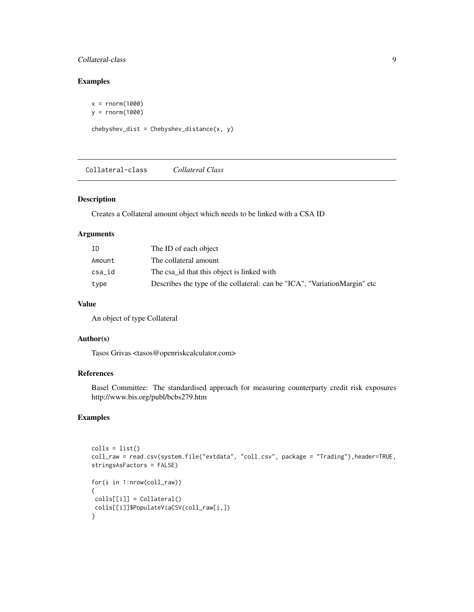### <span id="page-8-0"></span>Collateral-class 9

### Examples

 $x = rnorm(1000)$ y = rnorm(1000)  $chebyshev\_dist = Chebyshev\_distance(x, y)$ 

Collateral-class *Collateral Class*

### Description

Creates a Collateral amount object which needs to be linked with a CSA ID

### Arguments

| ΙD     | The ID of each object                                                      |
|--------|----------------------------------------------------------------------------|
| Amount | The collateral amount                                                      |
| csa_id | The csa id that this object is linked with                                 |
| type   | Describes the type of the collateral: can be "ICA", "VariationMargin" etc. |

#### Value

An object of type Collateral

#### Author(s)

Tasos Grivas <tasos@openriskcalculator.com>

### References

Basel Committee: The standardised approach for measuring counterparty credit risk exposures http://www.bis.org/publ/bcbs279.htm

```
\text{cells} = \text{list}()coll_raw = read.csv(system.file("extdata", "coll.csv", package = "Trading"),header=TRUE,
stringsAsFactors = FALSE)
for(i in 1:nrow(coll_raw))
{
colls[[i]] = Collateral()
colls[[i]]$PopulateViaCSV(coll_raw[i,])
}
```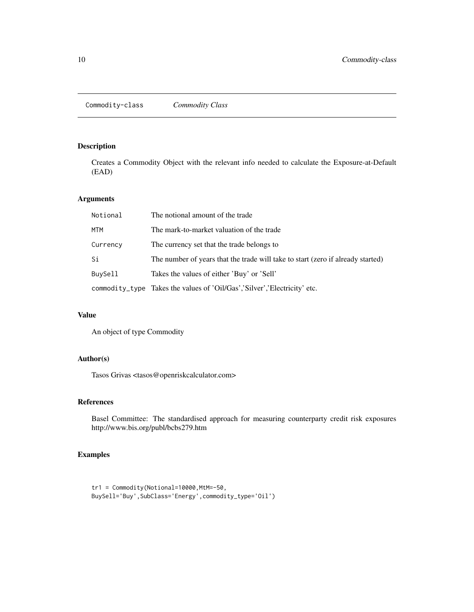<span id="page-9-0"></span>Creates a Commodity Object with the relevant info needed to calculate the Exposure-at-Default (EAD)

### Arguments

| Notional | The notional amount of the trade                                                |
|----------|---------------------------------------------------------------------------------|
| MTM      | The mark-to-market valuation of the trade                                       |
| Currency | The currency set that the trade belongs to                                      |
| Si       | The number of years that the trade will take to start (zero if already started) |
| BuySell  | Takes the values of either 'Buy' or 'Sell'                                      |
|          | commodity_type Takes the values of 'Oil/Gas','Silver','Electricity' etc.        |

### Value

An object of type Commodity

### Author(s)

Tasos Grivas <tasos@openriskcalculator.com>

### References

Basel Committee: The standardised approach for measuring counterparty credit risk exposures http://www.bis.org/publ/bcbs279.htm

```
tr1 = Commodity(Notional=10000,MtM=-50,
BuySell='Buy',SubClass='Energy',commodity_type='Oil')
```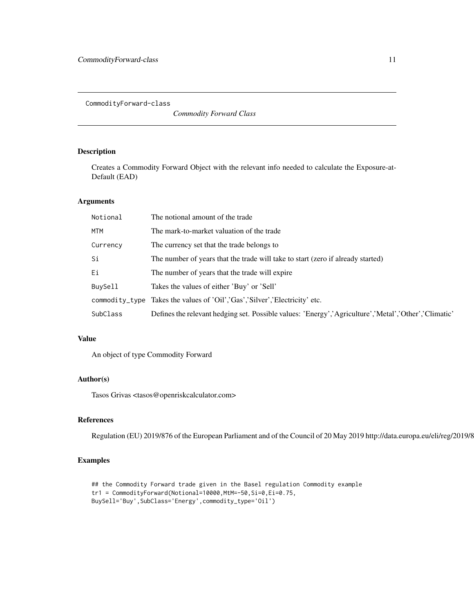<span id="page-10-0"></span>CommodityForward-class

*Commodity Forward Class*

### Description

Creates a Commodity Forward Object with the relevant info needed to calculate the Exposure-at-Default (EAD)

#### Arguments

| Notional   | The notional amount of the trade                                                                     |
|------------|------------------------------------------------------------------------------------------------------|
| <b>MTM</b> | The mark-to-market valuation of the trade                                                            |
| Currency   | The currency set that the trade belongs to                                                           |
| Si         | The number of years that the trade will take to start (zero if already started)                      |
| Ei         | The number of years that the trade will expire                                                       |
| BuySell    | Takes the values of either 'Buy' or 'Sell'                                                           |
|            | commodity_type Takes the values of 'Oil','Gas','Silver','Electricity' etc.                           |
| SubClass   | Defines the relevant hedging set. Possible values: 'Energy','Agriculture','Metal','Other','Climatic' |

#### Value

An object of type Commodity Forward

### Author(s)

Tasos Grivas <tasos@openriskcalculator.com>

### References

Regulation (EU) 2019/876 of the European Parliament and of the Council of 20 May 2019 http://data.europa.eu/eli/reg/2019/876/oj

```
## the Commodity Forward trade given in the Basel regulation Commodity example
tr1 = CommodityForward(Notional=10000,MtM=-50,Si=0,Ei=0.75,
BuySell='Buy',SubClass='Energy',commodity_type='Oil')
```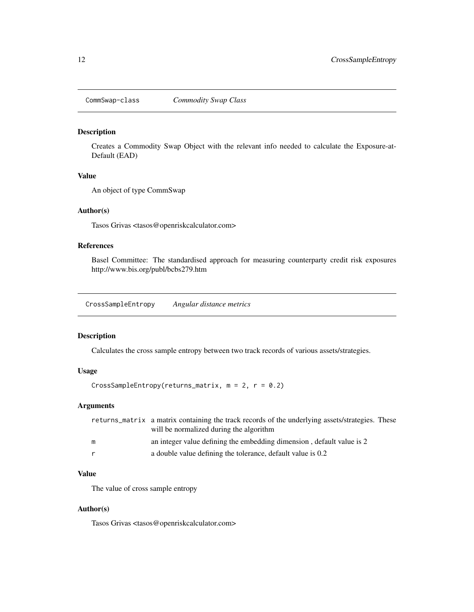<span id="page-11-0"></span>

Creates a Commodity Swap Object with the relevant info needed to calculate the Exposure-at-Default (EAD)

#### Value

An object of type CommSwap

#### Author(s)

Tasos Grivas <tasos@openriskcalculator.com>

### References

Basel Committee: The standardised approach for measuring counterparty credit risk exposures http://www.bis.org/publ/bcbs279.htm

CrossSampleEntropy *Angular distance metrics*

### Description

Calculates the cross sample entropy between two track records of various assets/strategies.

#### Usage

```
CrossSampleEntropy(returns_matrix, m = 2, r = 0.2)
```
### Arguments

|   | returns_matrix a matrix containing the track records of the underlying assets/strategies. These |  |
|---|-------------------------------------------------------------------------------------------------|--|
|   | will be normalized during the algorithm                                                         |  |
| m | an integer value defining the embedding dimension, default value is 2                           |  |
| r | a double value defining the tolerance, default value is 0.2                                     |  |

### Value

The value of cross sample entropy

#### Author(s)

Tasos Grivas <tasos@openriskcalculator.com>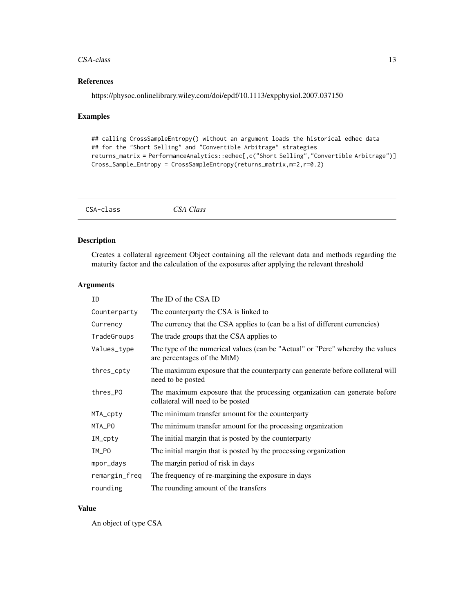#### <span id="page-12-0"></span> $CSA-class$   $13$

### References

https://physoc.onlinelibrary.wiley.com/doi/epdf/10.1113/expphysiol.2007.037150

### Examples

```
## calling CrossSampleEntropy() without an argument loads the historical edhec data
## for the "Short Selling" and "Convertible Arbitrage" strategies
returns_matrix = PerformanceAnalytics::edhec[,c("Short Selling","Convertible Arbitrage")]
Cross_Sample_Entropy = CrossSampleEntropy(returns_matrix,m=2,r=0.2)
```

| CSA-class | CSA Class |
|-----------|-----------|
|           |           |

### Description

Creates a collateral agreement Object containing all the relevant data and methods regarding the maturity factor and the calculation of the exposures after applying the relevant threshold

### Arguments

| ID            | The ID of the CSA ID                                                                                           |
|---------------|----------------------------------------------------------------------------------------------------------------|
| Counterparty  | The counterparty the CSA is linked to                                                                          |
| Currency      | The currency that the CSA applies to (can be a list of different currencies)                                   |
| TradeGroups   | The trade groups that the CSA applies to                                                                       |
| Values_type   | The type of the numerical values (can be "Actual" or "Perc" whereby the values<br>are percentages of the MtM)  |
| thres_cpty    | The maximum exposure that the counterparty can generate before collateral will<br>need to be posted            |
| thres_PO      | The maximum exposure that the processing organization can generate before<br>collateral will need to be posted |
| MTA_cpty      | The minimum transfer amount for the counterparty                                                               |
| MTA_PO        | The minimum transfer amount for the processing organization                                                    |
| IM_cpty       | The initial margin that is posted by the counterparty                                                          |
| IM_PO         | The initial margin that is posted by the processing organization                                               |
| mpor_days     | The margin period of risk in days                                                                              |
| remargin_freq | The frequency of re-margining the exposure in days                                                             |
| rounding      | The rounding amount of the transfers                                                                           |

### Value

An object of type CSA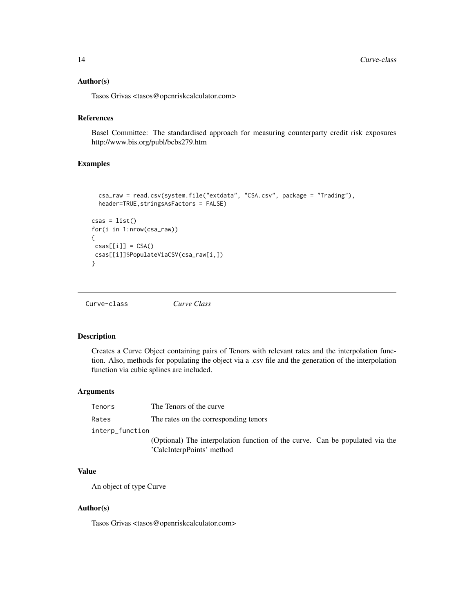#### <span id="page-13-0"></span>Author(s)

Tasos Grivas <tasos@openriskcalculator.com>

#### References

Basel Committee: The standardised approach for measuring counterparty credit risk exposures http://www.bis.org/publ/bcbs279.htm

#### Examples

```
csa_raw = read.csv(system.file("extdata", "CSA.csv", package = "Trading"),
  header=TRUE,stringsAsFactors = FALSE)
csas = list()for(i in 1:nrow(csa_raw))
{
\text{csas}[\text{[i]}] = \text{CSA}()csas[[i]]$PopulateViaCSV(csa_raw[i,])
}
```
Curve-class *Curve Class*

#### Description

Creates a Curve Object containing pairs of Tenors with relevant rates and the interpolation function. Also, methods for populating the object via a .csv file and the generation of the interpolation function via cubic splines are included.

#### Arguments

| Tenors          | The Tenors of the curve                                                                                   |
|-----------------|-----------------------------------------------------------------------------------------------------------|
| Rates           | The rates on the corresponding tenors                                                                     |
| interp_function |                                                                                                           |
|                 | (Optional) The interpolation function of the curve. Can be populated via the<br>'CalcInterpPoints' method |

### Value

An object of type Curve

#### Author(s)

Tasos Grivas <tasos@openriskcalculator.com>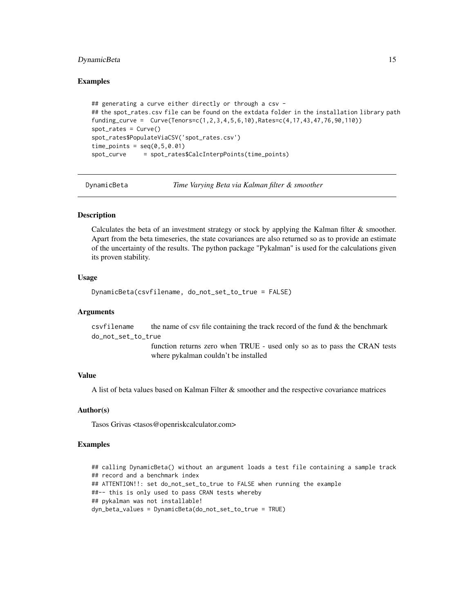#### <span id="page-14-0"></span>DynamicBeta 15

#### Examples

```
## generating a curve either directly or through a csv -
## the spot_rates.csv file can be found on the extdata folder in the installation library path
funding_curve = Curve(Tenors=c(1,2,3,4,5,6,10),Rates=c(4,17,43,47,76,90,110))
spot\_rates = Curve()spot_rates$PopulateViaCSV('spot_rates.csv')
time\_points = seq(0, 5, 0.01)spot_curve = spot_rates$CalcInterpPoints(time_points)
```
DynamicBeta *Time Varying Beta via Kalman filter & smoother*

#### Description

Calculates the beta of an investment strategy or stock by applying the Kalman filter & smoother. Apart from the beta timeseries, the state covariances are also returned so as to provide an estimate of the uncertainty of the results. The python package "Pykalman" is used for the calculations given its proven stability.

#### Usage

```
DynamicBeta(csvfilename, do_not_set_to_true = FALSE)
```
#### Arguments

csvfilename the name of csv file containing the track record of the fund  $\&$  the benchmark do\_not\_set\_to\_true

> function returns zero when TRUE - used only so as to pass the CRAN tests where pykalman couldn't be installed

#### Value

A list of beta values based on Kalman Filter & smoother and the respective covariance matrices

#### Author(s)

Tasos Grivas <tasos@openriskcalculator.com>

```
## calling DynamicBeta() without an argument loads a test file containing a sample track
## record and a benchmark index
## ATTENTION!!: set do_not_set_to_true to FALSE when running the example
##-- this is only used to pass CRAN tests whereby
## pykalman was not installable!
dyn_beta_values = DynamicBeta(do_not_set_to_true = TRUE)
```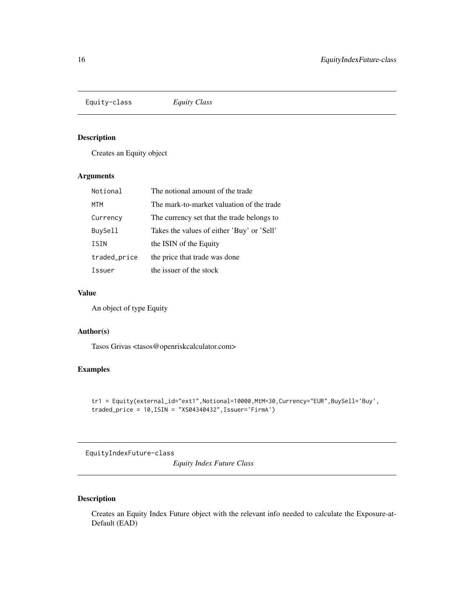<span id="page-15-0"></span>Equity-class *Equity Class*

#### Description

Creates an Equity object

#### Arguments

| Notional     | The notional amount of the trade           |
|--------------|--------------------------------------------|
| MTM          | The mark-to-market valuation of the trade  |
| Currency     | The currency set that the trade belongs to |
| BuySell      | Takes the values of either 'Buy' or 'Sell' |
| ISIN         | the ISIN of the Equity                     |
| traded_price | the price that trade was done              |
| Issuer       | the issuer of the stock                    |
|              |                                            |

### Value

An object of type Equity

### Author(s)

Tasos Grivas <tasos@openriskcalculator.com>

### Examples

```
tr1 = Equity(external_id="ext1",Notional=10000,MtM=30,Currency="EUR",BuySell='Buy',
traded\_price = 10, ISIN = "XS04340432", Issuer='FirmA')
```
EquityIndexFuture-class

*Equity Index Future Class*

### Description

Creates an Equity Index Future object with the relevant info needed to calculate the Exposure-at-Default (EAD)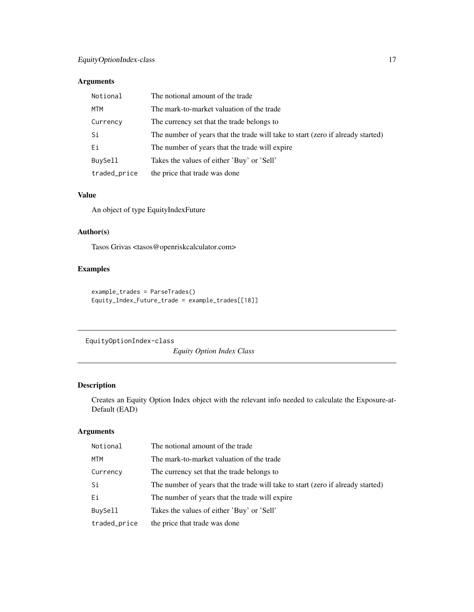### <span id="page-16-0"></span>Arguments

| Notional     | The notional amount of the trade                                                |
|--------------|---------------------------------------------------------------------------------|
| MTM          | The mark-to-market valuation of the trade                                       |
| Currency     | The currency set that the trade belongs to                                      |
| Si           | The number of years that the trade will take to start (zero if already started) |
| Ei           | The number of years that the trade will expire                                  |
| BuySell      | Takes the values of either 'Buy' or 'Sell'                                      |
| traded_price | the price that trade was done                                                   |

### Value

An object of type EquityIndexFuture

#### Author(s)

Tasos Grivas <tasos@openriskcalculator.com>

### Examples

```
example_trades = ParseTrades()
Equity_Index_Future_trade = example_trades[[18]]
```
EquityOptionIndex-class

*Equity Option Index Class*

### Description

Creates an Equity Option Index object with the relevant info needed to calculate the Exposure-at-Default (EAD)

### Arguments

| Notional     | The notional amount of the trade                                                |
|--------------|---------------------------------------------------------------------------------|
| MTM          | The mark-to-market valuation of the trade                                       |
| Currency     | The currency set that the trade belongs to                                      |
| Si           | The number of years that the trade will take to start (zero if already started) |
| Ei           | The number of years that the trade will expire                                  |
| BuySell      | Takes the values of either 'Buy' or 'Sell'                                      |
| traded_price | the price that trade was done                                                   |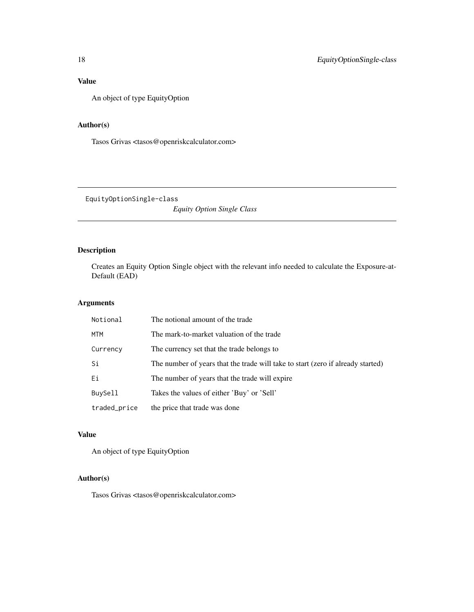### <span id="page-17-0"></span>Value

An object of type EquityOption

### Author(s)

Tasos Grivas <tasos@openriskcalculator.com>

EquityOptionSingle-class

*Equity Option Single Class*

### Description

Creates an Equity Option Single object with the relevant info needed to calculate the Exposure-at-Default (EAD)

### Arguments

| Notional     | The notional amount of the trade                                                |
|--------------|---------------------------------------------------------------------------------|
| MTM          | The mark-to-market valuation of the trade                                       |
| Currency     | The currency set that the trade belongs to                                      |
| Si           | The number of years that the trade will take to start (zero if already started) |
| Ei           | The number of years that the trade will expire                                  |
| BuySell      | Takes the values of either 'Buy' or 'Sell'                                      |
| traded_price | the price that trade was done                                                   |

### Value

An object of type EquityOption

### Author(s)

Tasos Grivas <tasos@openriskcalculator.com>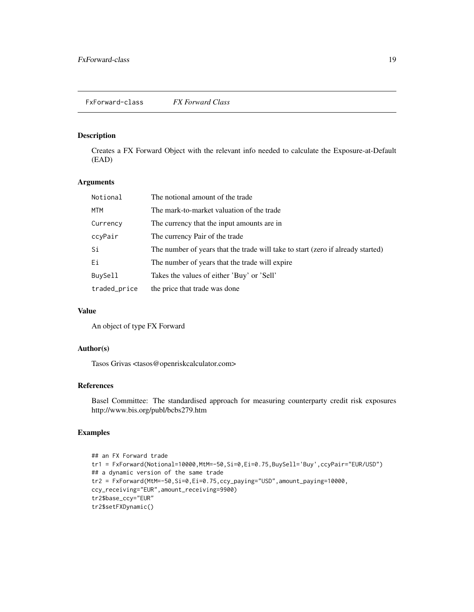<span id="page-18-0"></span>Creates a FX Forward Object with the relevant info needed to calculate the Exposure-at-Default (EAD)

### Arguments

| Notional     | The notional amount of the trade                                                |
|--------------|---------------------------------------------------------------------------------|
| MTM          | The mark-to-market valuation of the trade                                       |
| Currency     | The currency that the input amounts are in                                      |
| ccyPair      | The currency Pair of the trade                                                  |
| Si           | The number of years that the trade will take to start (zero if already started) |
| Еi           | The number of years that the trade will expire                                  |
| BuySell      | Takes the values of either 'Buy' or 'Sell'                                      |
| traded_price | the price that trade was done                                                   |

### Value

An object of type FX Forward

### Author(s)

Tasos Grivas <tasos@openriskcalculator.com>

#### References

Basel Committee: The standardised approach for measuring counterparty credit risk exposures http://www.bis.org/publ/bcbs279.htm

```
## an FX Forward trade
tr1 = FxForward(Notional=10000,MtM=-50,Si=0,Ei=0.75,BuySell='Buy',ccyPair="EUR/USD")
## a dynamic version of the same trade
tr2 = FxForward(MtM=-50,Si=0,Ei=0.75,ccy_paying="USD",amount_paying=10000,
ccy_receiving="EUR",amount_receiving=9900)
tr2$base_ccy="EUR"
tr2$setFXDynamic()
```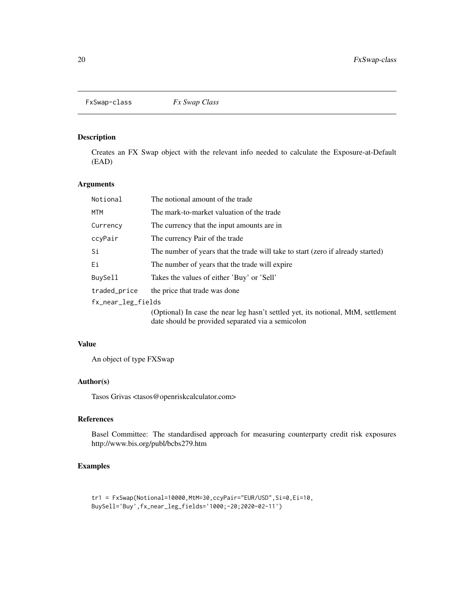<span id="page-19-0"></span>FxSwap-class *Fx Swap Class*

### Description

Creates an FX Swap object with the relevant info needed to calculate the Exposure-at-Default (EAD)

### Arguments

| Notional           | The notional amount of the trade                                                                                                       |
|--------------------|----------------------------------------------------------------------------------------------------------------------------------------|
| MTM                | The mark-to-market valuation of the trade                                                                                              |
| Currency           | The currency that the input amounts are in                                                                                             |
| ccyPair            | The currency Pair of the trade                                                                                                         |
| Si                 | The number of years that the trade will take to start (zero if already started)                                                        |
| Ei                 | The number of years that the trade will expire                                                                                         |
| <b>BuySell</b>     | Takes the values of either 'Buy' or 'Sell'                                                                                             |
| traded_price       | the price that trade was done                                                                                                          |
| fx_near_leg_fields |                                                                                                                                        |
|                    | (Optional) In case the near leg hasn't settled yet, its notional, MtM, settlement<br>date should be provided separated via a semicolon |

### Value

An object of type FXSwap

### Author(s)

Tasos Grivas <tasos@openriskcalculator.com>

### References

Basel Committee: The standardised approach for measuring counterparty credit risk exposures http://www.bis.org/publ/bcbs279.htm

```
tr1 = FxSwap(Notional=10000,MtM=30,ccyPair="EUR/USD",Si=0,Ei=10,
BuySell='Buy',fx_near_leg_fields='1000;-20;2020-02-11')
```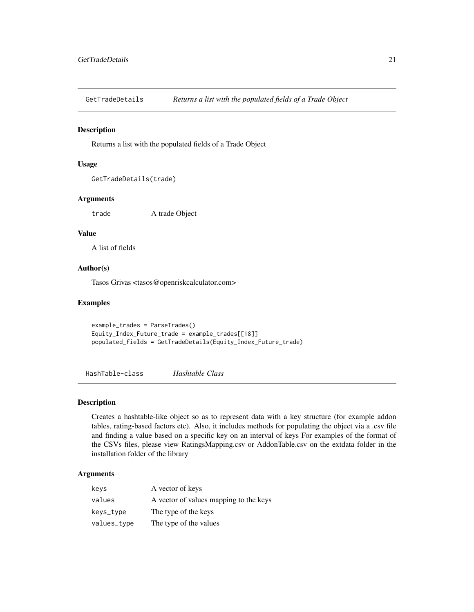<span id="page-20-0"></span>GetTradeDetails *Returns a list with the populated fields of a Trade Object*

#### Description

Returns a list with the populated fields of a Trade Object

#### Usage

```
GetTradeDetails(trade)
```
#### Arguments

trade A trade Object

#### Value

A list of fields

### Author(s)

Tasos Grivas <tasos@openriskcalculator.com>

### Examples

example\_trades = ParseTrades() Equity\_Index\_Future\_trade = example\_trades[[18]] populated\_fields = GetTradeDetails(Equity\_Index\_Future\_trade)

HashTable-class *Hashtable Class*

#### Description

Creates a hashtable-like object so as to represent data with a key structure (for example addon tables, rating-based factors etc). Also, it includes methods for populating the object via a .csv file and finding a value based on a specific key on an interval of keys For examples of the format of the CSVs files, please view RatingsMapping.csv or AddonTable.csv on the extdata folder in the installation folder of the library

### Arguments

| keys        | A vector of keys                       |
|-------------|----------------------------------------|
| values      | A vector of values mapping to the keys |
| keys_type   | The type of the keys                   |
| values_type | The type of the values                 |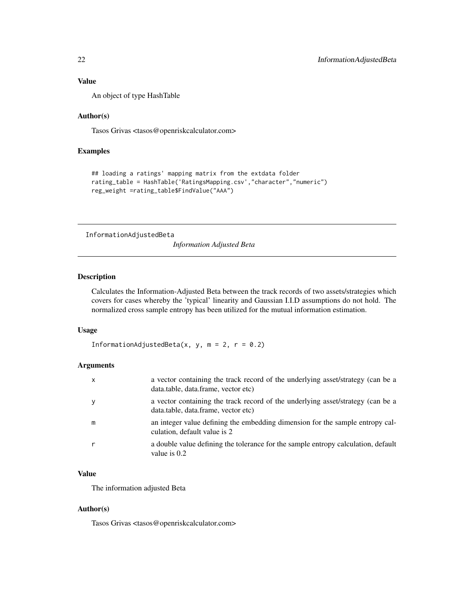#### <span id="page-21-0"></span>Value

An object of type HashTable

#### Author(s)

Tasos Grivas <tasos@openriskcalculator.com>

#### Examples

```
## loading a ratings' mapping matrix from the extdata folder
rating_table = HashTable('RatingsMapping.csv',"character","numeric")
reg_weight =rating_table$FindValue("AAA")
```
InformationAdjustedBeta

*Information Adjusted Beta*

#### Description

Calculates the Information-Adjusted Beta between the track records of two assets/strategies which covers for cases whereby the 'typical' linearity and Gaussian I.I.D assumptions do not hold. The normalized cross sample entropy has been utilized for the mutual information estimation.

#### Usage

```
InformationAdjustedBeta(x, y, m = 2, r = 0.2)
```
#### Arguments

| $\mathsf{x}$ | a vector containing the track record of the underlying asset/strategy (can be a<br>data.table, data.frame, vector etc) |
|--------------|------------------------------------------------------------------------------------------------------------------------|
| y            | a vector containing the track record of the underlying asset/strategy (can be a<br>data.table, data.frame, vector etc) |
| m            | an integer value defining the embedding dimension for the sample entropy cal-<br>culation, default value is 2          |
| r            | a double value defining the tolerance for the sample entropy calculation, default<br>value is $0.2$                    |

### Value

The information adjusted Beta

#### Author(s)

Tasos Grivas <tasos@openriskcalculator.com>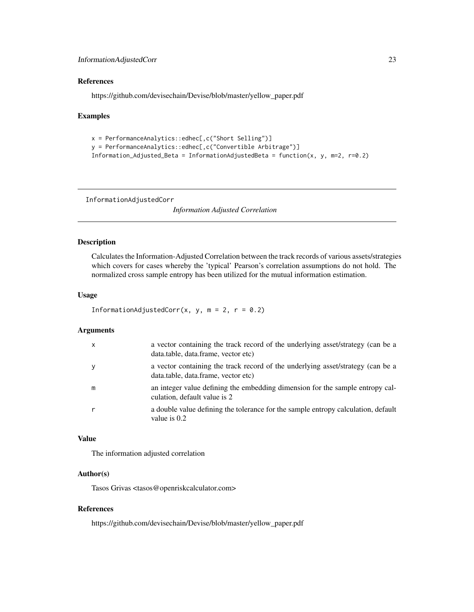### <span id="page-22-0"></span>References

https://github.com/devisechain/Devise/blob/master/yellow\_paper.pdf

#### Examples

```
x = PerformanceAnalytics::edhec[,c("Short Selling")]
y = PerformanceAnalytics::edhec[,c("Convertible Arbitrage")]
Information_Adjusted_Beta = InformationAdjustedBeta = function(x, y, m=2, r=0.2)
```
InformationAdjustedCorr

*Information Adjusted Correlation*

### Description

Calculates the Information-Adjusted Correlation between the track records of various assets/strategies which covers for cases whereby the 'typical' Pearson's correlation assumptions do not hold. The normalized cross sample entropy has been utilized for the mutual information estimation.

#### Usage

```
InformationAdjustedCorr(x, y, m = 2, r = 0.2)
```
#### Arguments

| $\mathsf{x}$ | a vector containing the track record of the underlying asset/strategy (can be a<br>data.table, data.frame, vector etc) |
|--------------|------------------------------------------------------------------------------------------------------------------------|
| y            | a vector containing the track record of the underlying asset/strategy (can be a<br>data.table, data.frame, vector etc) |
| m            | an integer value defining the embedding dimension for the sample entropy cal-<br>culation, default value is 2          |
| r            | a double value defining the tolerance for the sample entropy calculation, default<br>value is $0.2$                    |

### Value

The information adjusted correlation

#### Author(s)

Tasos Grivas <tasos@openriskcalculator.com>

### References

https://github.com/devisechain/Devise/blob/master/yellow\_paper.pdf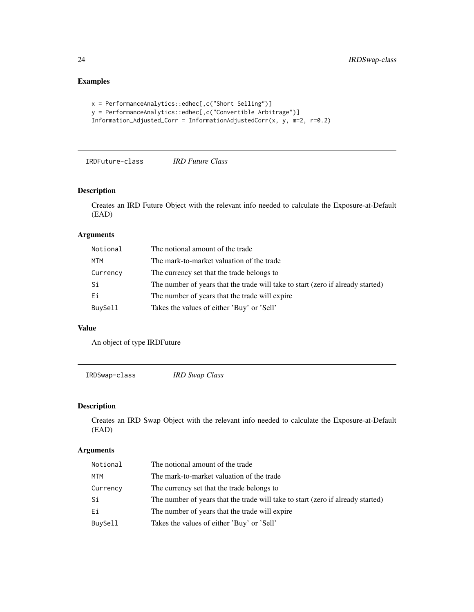### Examples

```
x = PerformanceAnalytics::edhec[,c("Short Selling")]
y = PerformanceAnalytics::edhec[,c("Convertible Arbitrage")]
Information_Adjusted_Corr = InformationAdjustedCorr(x, y, m=2, r=0.2)
```
IRDFuture-class *IRD Future Class*

### Description

Creates an IRD Future Object with the relevant info needed to calculate the Exposure-at-Default (EAD)

### Arguments

| Notional | The notional amount of the trade                                                |
|----------|---------------------------------------------------------------------------------|
| MTM      | The mark-to-market valuation of the trade                                       |
| Currency | The currency set that the trade belongs to                                      |
| Si       | The number of years that the trade will take to start (zero if already started) |
| Ei       | The number of years that the trade will expire                                  |
| BuySell  | Takes the values of either 'Buy' or 'Sell'                                      |

#### Value

An object of type IRDFuture

IRDSwap-class *IRD Swap Class*

### Description

Creates an IRD Swap Object with the relevant info needed to calculate the Exposure-at-Default (EAD)

### Arguments

| Notional | The notional amount of the trade                                                |
|----------|---------------------------------------------------------------------------------|
| MTM      | The mark-to-market valuation of the trade                                       |
| Currency | The currency set that the trade belongs to                                      |
| Si       | The number of years that the trade will take to start (zero if already started) |
| Ei       | The number of years that the trade will expire                                  |
| BuySell  | Takes the values of either 'Buy' or 'Sell'                                      |

<span id="page-23-0"></span>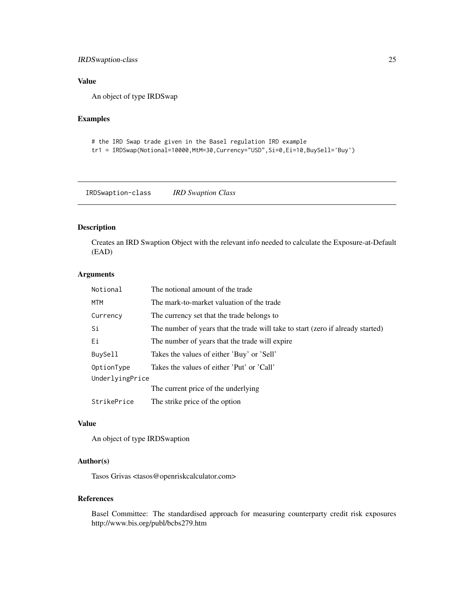### <span id="page-24-0"></span>IRDSwaption-class 25

### Value

An object of type IRDSwap

### Examples

```
# the IRD Swap trade given in the Basel regulation IRD example
```
tr1 = IRDSwap(Notional=10000,MtM=30,Currency="USD",Si=0,Ei=10,BuySell='Buy')

IRDSwaption-class *IRD Swaption Class*

### Description

Creates an IRD Swaption Object with the relevant info needed to calculate the Exposure-at-Default (EAD)

### Arguments

| Notional        | The notional amount of the trade                                                |
|-----------------|---------------------------------------------------------------------------------|
| MTM             | The mark-to-market valuation of the trade                                       |
| Currency        | The currency set that the trade belongs to                                      |
| Si              | The number of years that the trade will take to start (zero if already started) |
| Ei              | The number of years that the trade will expire                                  |
| BuySell         | Takes the values of either 'Buy' or 'Sell'                                      |
| OptionType      | Takes the values of either 'Put' or 'Call'                                      |
| UnderlyingPrice |                                                                                 |
|                 | The current price of the underlying                                             |
| StrikePrice     | The strike price of the option                                                  |

#### Value

An object of type IRDSwaption

#### Author(s)

Tasos Grivas <tasos@openriskcalculator.com>

### References

Basel Committee: The standardised approach for measuring counterparty credit risk exposures http://www.bis.org/publ/bcbs279.htm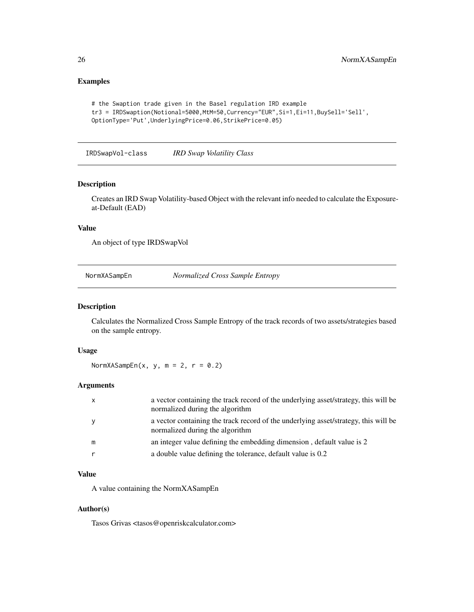### <span id="page-25-0"></span>Examples

```
# the Swaption trade given in the Basel regulation IRD example
tr3 = IRDSwaption(Notional=5000,MtM=50,Currency="EUR",Si=1,Ei=11,BuySell='Sell',
OptionType='Put',UnderlyingPrice=0.06,StrikePrice=0.05)
```
IRDSwapVol-class *IRD Swap Volatility Class*

#### Description

Creates an IRD Swap Volatility-based Object with the relevant info needed to calculate the Exposureat-Default (EAD)

#### Value

An object of type IRDSwapVol

NormXASampEn *Normalized Cross Sample Entropy*

#### Description

Calculates the Normalized Cross Sample Entropy of the track records of two assets/strategies based on the sample entropy.

#### Usage

NormXASampEn(x, y, m = 2,  $r = 0.2$ )

#### Arguments

| $\mathsf{X}$ | a vector containing the track record of the underlying asset/strategy, this will be<br>normalized during the algorithm |
|--------------|------------------------------------------------------------------------------------------------------------------------|
| y            | a vector containing the track record of the underlying asset/strategy, this will be<br>normalized during the algorithm |
| m            | an integer value defining the embedding dimension, default value is 2                                                  |
|              | a double value defining the tolerance, default value is 0.2                                                            |

### Value

A value containing the NormXASampEn

#### Author(s)

Tasos Grivas <tasos@openriskcalculator.com>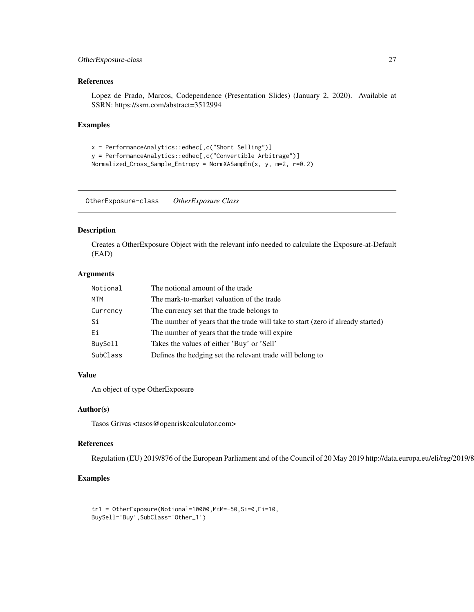### <span id="page-26-0"></span>OtherExposure-class 27

### References

Lopez de Prado, Marcos, Codependence (Presentation Slides) (January 2, 2020). Available at SSRN: https://ssrn.com/abstract=3512994

#### Examples

```
x = PerformanceAnalytics::edhec[,c("Short Selling")]
y = PerformanceAnalytics::edhec[,c("Convertible Arbitrage")]
Normalized_Cross_Sample_Entropy = NormXASampEn(x, y, m=2, r=0.2)
```
OtherExposure-class *OtherExposure Class*

#### Description

Creates a OtherExposure Object with the relevant info needed to calculate the Exposure-at-Default (EAD)

### Arguments

| Notional | The notional amount of the trade                                                |
|----------|---------------------------------------------------------------------------------|
| MTM      | The mark-to-market valuation of the trade                                       |
| Currency | The currency set that the trade belongs to                                      |
| Si       | The number of years that the trade will take to start (zero if already started) |
| Ei       | The number of years that the trade will expire                                  |
| BuySell  | Takes the values of either 'Buy' or 'Sell'                                      |
| SubClass | Defines the hedging set the relevant trade will belong to                       |
|          |                                                                                 |

### Value

An object of type OtherExposure

#### Author(s)

Tasos Grivas <tasos@openriskcalculator.com>

#### References

Regulation (EU) 2019/876 of the European Parliament and of the Council of 20 May 2019 http://data.europa.eu/eli/reg/2019/876/oj

### Examples

tr1 = OtherExposure(Notional=10000,MtM=-50,Si=0,Ei=10, BuySell='Buy',SubClass='Other\_1')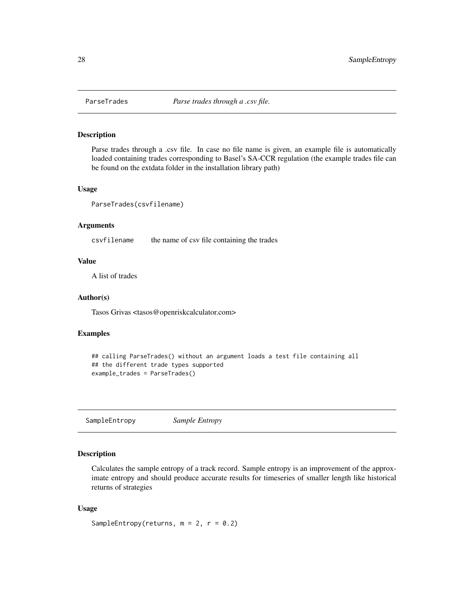<span id="page-27-0"></span>

Parse trades through a .csv file. In case no file name is given, an example file is automatically loaded containing trades corresponding to Basel's SA-CCR regulation (the example trades file can be found on the extdata folder in the installation library path)

#### Usage

```
ParseTrades(csvfilename)
```
### Arguments

csvfilename the name of csv file containing the trades

#### Value

A list of trades

#### Author(s)

Tasos Grivas <tasos@openriskcalculator.com>

#### Examples

```
## calling ParseTrades() without an argument loads a test file containing all
## the different trade types supported
example_trades = ParseTrades()
```
SampleEntropy *Sample Entropy*

### Description

Calculates the sample entropy of a track record. Sample entropy is an improvement of the approximate entropy and should produce accurate results for timeseries of smaller length like historical returns of strategies

#### Usage

SampleEntropy(returns,  $m = 2$ ,  $r = 0.2$ )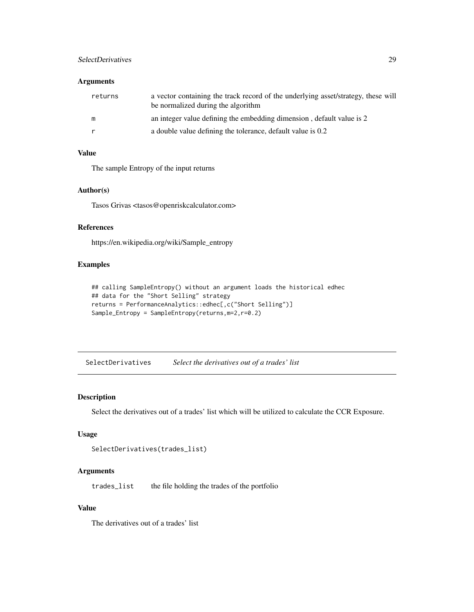### <span id="page-28-0"></span>SelectDerivatives 29

### Arguments

| returns | a vector containing the track record of the underlying asset/strategy, these will<br>be normalized during the algorithm |
|---------|-------------------------------------------------------------------------------------------------------------------------|
| m       | an integer value defining the embedding dimension, default value is 2                                                   |
| r       | a double value defining the tolerance, default value is 0.2                                                             |

### Value

The sample Entropy of the input returns

### Author(s)

Tasos Grivas <tasos@openriskcalculator.com>

### References

https://en.wikipedia.org/wiki/Sample\_entropy

#### Examples

```
## calling SampleEntropy() without an argument loads the historical edhec
## data for the "Short Selling" strategy
returns = PerformanceAnalytics::edhec[,c("Short Selling")]
Sample_Entropy = SampleEntropy(returns,m=2,r=0.2)
```
SelectDerivatives *Select the derivatives out of a trades' list*

### Description

Select the derivatives out of a trades' list which will be utilized to calculate the CCR Exposure.

#### Usage

```
SelectDerivatives(trades_list)
```
#### Arguments

trades\_list the file holding the trades of the portfolio

#### Value

The derivatives out of a trades' list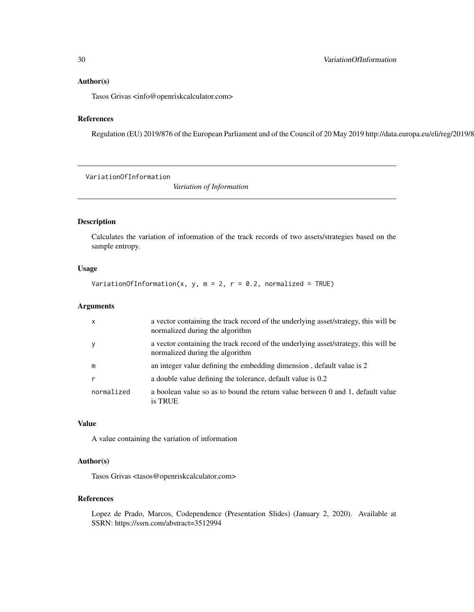#### <span id="page-29-0"></span>Author(s)

Tasos Grivas <info@openriskcalculator.com>

### References

Regulation (EU) 2019/876 of the European Parliament and of the Council of 20 May 2019 http://data.europa.eu/eli/reg/2019/8

VariationOfInformation

*Variation of Information*

### Description

Calculates the variation of information of the track records of two assets/strategies based on the sample entropy.

### Usage

VariationOfInformation(x, y, m = 2, r = 0.2, normalized = TRUE)

#### Arguments

| $\boldsymbol{\mathsf{x}}$ | a vector containing the track record of the underlying asset/strategy, this will be<br>normalized during the algorithm |
|---------------------------|------------------------------------------------------------------------------------------------------------------------|
| у                         | a vector containing the track record of the underlying asset/strategy, this will be<br>normalized during the algorithm |
| m                         | an integer value defining the embedding dimension, default value is 2                                                  |
|                           | a double value defining the tolerance, default value is 0.2                                                            |
| normalized                | a boolean value so as to bound the return value between 0 and 1, default value<br>is TRUE                              |

### Value

A value containing the variation of information

#### Author(s)

Tasos Grivas <tasos@openriskcalculator.com>

#### References

Lopez de Prado, Marcos, Codependence (Presentation Slides) (January 2, 2020). Available at SSRN: https://ssrn.com/abstract=3512994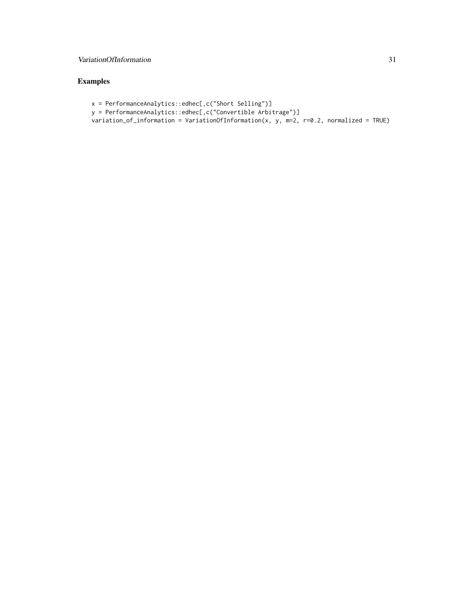### VariationOfInformation 31

```
x = PerformanceAnalytics::edhec[,c("Short Selling")]
y = PerformanceAnalytics::edhec[,c("Convertible Arbitrage")]
variation_of_information = VariationOfInformation(x, y, m=2, r=0.2, normalized = TRUE)
```